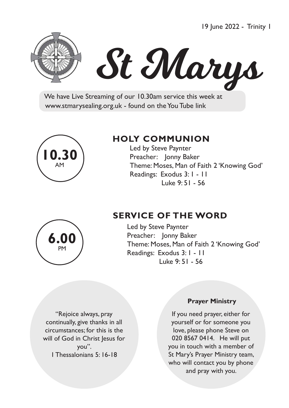19 June 2022 - Trinity 1



# St Marys

 We have Live Streaming of our 10.30am service this week at www.stmarysealing.org.uk - found on the You Tube link



# **HOLY COMMUNION**

 Led by Steve Paynter Preacher: Jonny Baker Theme: Moses, Man of Faith 2 'Knowing God' Readings: Exodus 3: 1 - 11 Luke 9: 51 - 56

# **SERVICE OF THE WORD**

Led by Steve Paynter Preacher: Jonny Baker Theme: Moses, Man of Faith 2 'Knowing God' Readings: Exodus 3: 1 - 11 Luke 9: 51 - 56

"Rejoice always, pray continually, give thanks in all circumstances; for this is the will of God in Christ Jesus for you". 1 Thessalonians 5: 16-18

#### **Prayer Ministry**

If you need prayer, either for yourself or for someone you love, please phone Steve on 020 8567 0414. He will put you in touch with a member of St Mary's Prayer Ministry team, who will contact you by phone and pray with you.

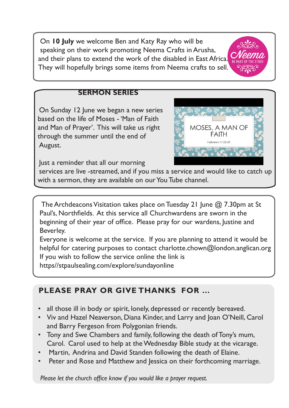On **10 July** we welcome Ben and Katy Ray who will be speaking on their work promoting Neema Crafts in Arusha, and their plans to extend the work of the disabled in East Africa. They will hopefully brings some items from Neema crafts to sell.

### **SERMON SERIES**

On Sunday 12 June we began a new series based on the life of Moses - 'Man of Faith and Man of Prayer'. This will take us right through the summer until the end of August.



Just a reminder that all our morning

services are live -streamed, and if you miss a service and would like to catch up with a sermon, they are available on our You Tube channel.

The Archdeacons Visitation takes place on Tuesday 21 June  $@$  7.30pm at St Paul's, Northfields. At this service all Churchwardens are sworn in the beginning of their year of office. Please pray for our wardens, Justine and Beverley.

 Everyone is welcome at the service. If you are planning to attend it would be helpful for catering purposes to contact charlotte.chown@london.anglican.org If you wish to follow the service online the link is https//stpaulsealing.com/explore/sundayonline

# **PLEASE PRAY OR GIVE THANKS FOR …**

- all those ill in body or spirit, lonely, depressed or recently bereaved.
- Viv and Hazel Neaverson, Diana Kinder, and Larry and Joan O'Neill, Carol and Barry Fergeson from Polygonian friends.
- Tony and Swe Chambers and family, following the death of Tony's mum, Carol. Carol used to help at the Wednesday Bible study at the vicarage.
- Martin, Andrina and David Standen following the death of Elaine.
- Peter and Rose and Matthew and Jessica on their forthcoming marriage.

 *Please let the church office know if you would like a prayer request.*